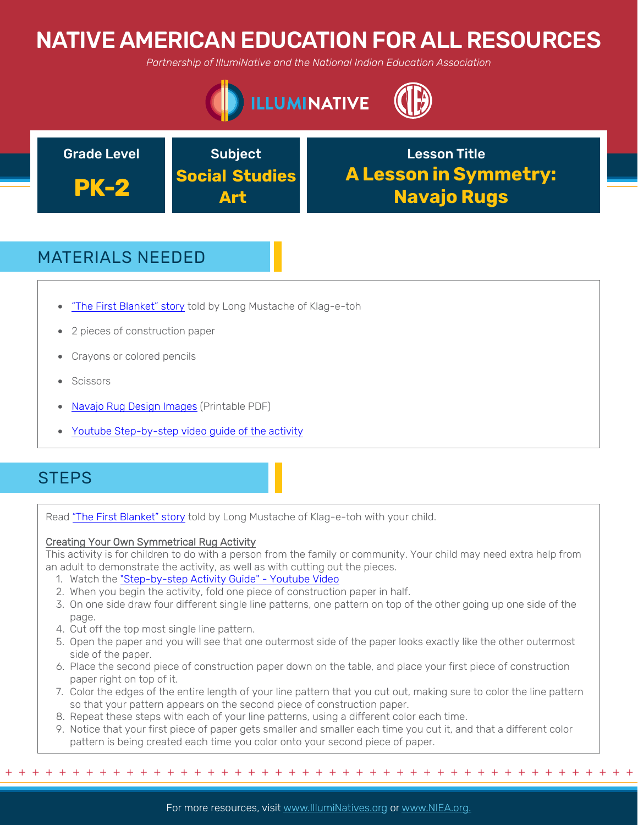# NATIVE AMERICAN EDUCATION FOR ALL RESOURCES

*Partnership of IllumiNative and the National Indian Education Association*





## MATERIALS NEEDED

- "The First Blanket" story told by Long Mustache of Klag-e-toh
- 2 pieces of construction paper
- Crayons or colored pencils
- **Scissors**
- Navajo Rug Design Images (Printable PDF)
- Youtube Step-by-step video guide of the activity

### **STEPS**

Read "The First Blanket" story told by Long Mustache of Klag-e-toh with your child.

### Creating Your Own Symmetrical Rug Activity

This activity is for children to do with a person from the family or community. Your child may need extra help from an adult to demonstrate the activity, as well as with cutting out the pieces.

- 1. Watch the "Step-by-step Activity Guide" Youtube Video
- 2. When you begin the activity, fold one piece of construction paper in half.
- 3. On one side draw four different single line patterns, one pattern on top of the other going up one side of the page.
- 4. Cut off the top most single line pattern.
- 5. Open the paper and you will see that one outermost side of the paper looks exactly like the other outermost side of the paper.
- 6. Place the second piece of construction paper down on the table, and place your first piece of construction paper right on top of it.
- 7. Color the edges of the entire length of your line pattern that you cut out, making sure to color the line pattern so that your pattern appears on the second piece of construction paper.
- 8. Repeat these steps with each of your line patterns, using a different color each time.
- 9. Notice that your first piece of paper gets smaller and smaller each time you cut it, and that a different color pattern is being created each time you color onto your second piece of paper.

+ + + + + + + + + + + + + + + + + + + + + + + + + + + + + + + + + + + + + + + + + + + + + + + +